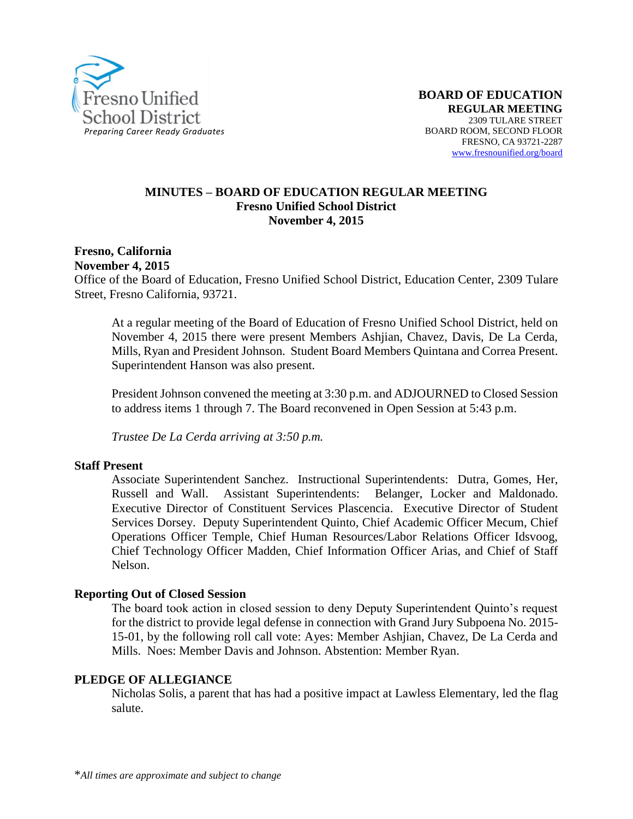

#### **MINUTES – BOARD OF EDUCATION REGULAR MEETING Fresno Unified School District November 4, 2015**

**Fresno, California November 4, 2015**

Office of the Board of Education, Fresno Unified School District, Education Center, 2309 Tulare Street, Fresno California, 93721.

At a regular meeting of the Board of Education of Fresno Unified School District, held on November 4, 2015 there were present Members Ashjian, Chavez, Davis, De La Cerda, Mills, Ryan and President Johnson. Student Board Members Quintana and Correa Present. Superintendent Hanson was also present.

President Johnson convened the meeting at 3:30 p.m. and ADJOURNED to Closed Session to address items 1 through 7. The Board reconvened in Open Session at 5:43 p.m.

*Trustee De La Cerda arriving at 3:50 p.m.*

#### **Staff Present**

Associate Superintendent Sanchez. Instructional Superintendents: Dutra, Gomes, Her, Russell and Wall. Assistant Superintendents: Belanger, Locker and Maldonado. Executive Director of Constituent Services Plascencia. Executive Director of Student Services Dorsey. Deputy Superintendent Quinto, Chief Academic Officer Mecum, Chief Operations Officer Temple, Chief Human Resources/Labor Relations Officer Idsvoog, Chief Technology Officer Madden, Chief Information Officer Arias, and Chief of Staff Nelson.

#### **Reporting Out of Closed Session**

The board took action in closed session to deny Deputy Superintendent Quinto's request for the district to provide legal defense in connection with Grand Jury Subpoena No. 2015- 15-01, by the following roll call vote: Ayes: Member Ashjian, Chavez, De La Cerda and Mills. Noes: Member Davis and Johnson. Abstention: Member Ryan.

#### **PLEDGE OF ALLEGIANCE**

Nicholas Solis, a parent that has had a positive impact at Lawless Elementary, led the flag salute.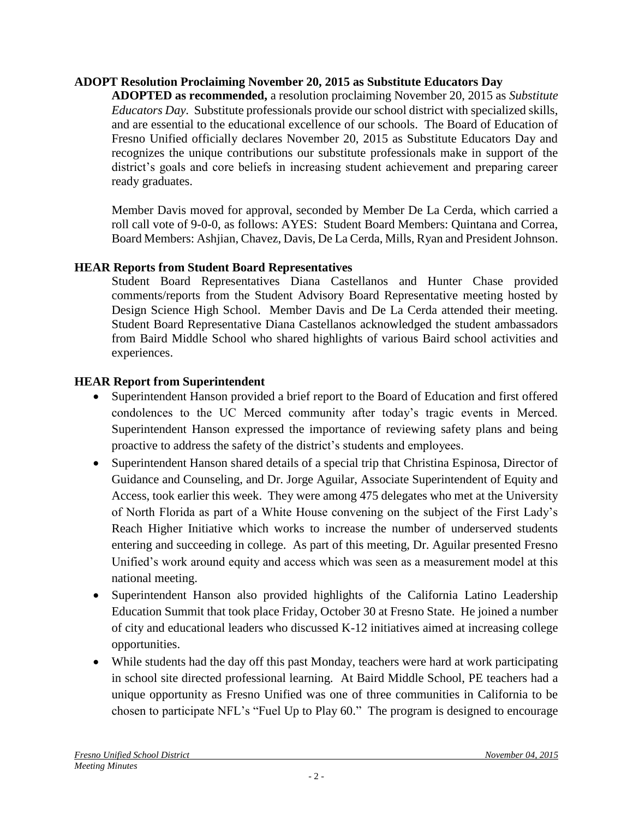## **ADOPT Resolution Proclaiming November 20, 2015 as Substitute Educators Day**

**ADOPTED as recommended,** a resolution proclaiming November 20, 2015 as *Substitute Educators Day*. Substitute professionals provide our school district with specialized skills, and are essential to the educational excellence of our schools. The Board of Education of Fresno Unified officially declares November 20, 2015 as Substitute Educators Day and recognizes the unique contributions our substitute professionals make in support of the district's goals and core beliefs in increasing student achievement and preparing career ready graduates.

Member Davis moved for approval, seconded by Member De La Cerda, which carried a roll call vote of 9-0-0, as follows: AYES: Student Board Members: Quintana and Correa, Board Members: Ashjian, Chavez, Davis, De La Cerda, Mills, Ryan and President Johnson.

## **HEAR Reports from Student Board Representatives**

Student Board Representatives Diana Castellanos and Hunter Chase provided comments/reports from the Student Advisory Board Representative meeting hosted by Design Science High School. Member Davis and De La Cerda attended their meeting. Student Board Representative Diana Castellanos acknowledged the student ambassadors from Baird Middle School who shared highlights of various Baird school activities and experiences.

## **HEAR Report from Superintendent**

- Superintendent Hanson provided a brief report to the Board of Education and first offered condolences to the UC Merced community after today's tragic events in Merced. Superintendent Hanson expressed the importance of reviewing safety plans and being proactive to address the safety of the district's students and employees.
- Superintendent Hanson shared details of a special trip that Christina Espinosa, Director of Guidance and Counseling, and Dr. Jorge Aguilar, Associate Superintendent of Equity and Access, took earlier this week. They were among 475 delegates who met at the University of North Florida as part of a White House convening on the subject of the First Lady's Reach Higher Initiative which works to increase the number of underserved students entering and succeeding in college. As part of this meeting, Dr. Aguilar presented Fresno Unified's work around equity and access which was seen as a measurement model at this national meeting.
- Superintendent Hanson also provided highlights of the California Latino Leadership Education Summit that took place Friday, October 30 at Fresno State. He joined a number of city and educational leaders who discussed K-12 initiatives aimed at increasing college opportunities.
- While students had the day off this past Monday, teachers were hard at work participating in school site directed professional learning. At Baird Middle School, PE teachers had a unique opportunity as Fresno Unified was one of three communities in California to be chosen to participate NFL's "Fuel Up to Play 60." The program is designed to encourage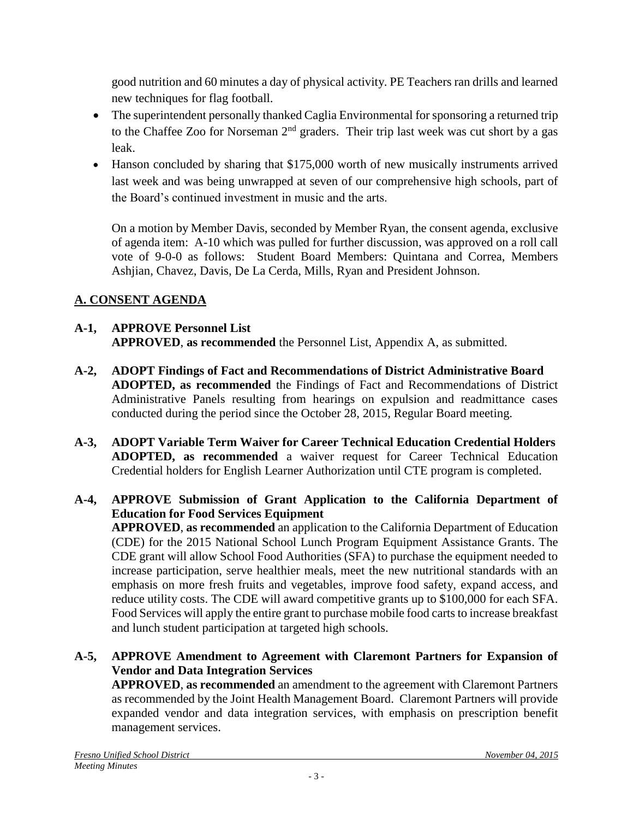good nutrition and 60 minutes a day of physical activity. PE Teachers ran drills and learned new techniques for flag football.

- The superintendent personally thanked Caglia Environmental for sponsoring a returned trip to the Chaffee Zoo for Norseman  $2<sup>nd</sup>$  graders. Their trip last week was cut short by a gas leak.
- Hanson concluded by sharing that \$175,000 worth of new musically instruments arrived last week and was being unwrapped at seven of our comprehensive high schools, part of the Board's continued investment in music and the arts.

On a motion by Member Davis, seconded by Member Ryan, the consent agenda, exclusive of agenda item: A-10 which was pulled for further discussion, was approved on a roll call vote of 9-0-0 as follows: Student Board Members: Quintana and Correa, Members Ashjian, Chavez, Davis, De La Cerda, Mills, Ryan and President Johnson.

# **A. CONSENT AGENDA**

## **A-1, APPROVE Personnel List APPROVED**, **as recommended** the Personnel List, Appendix A, as submitted.

- **A-2, ADOPT Findings of Fact and Recommendations of District Administrative Board ADOPTED, as recommended** the Findings of Fact and Recommendations of District Administrative Panels resulting from hearings on expulsion and readmittance cases conducted during the period since the October 28, 2015, Regular Board meeting.
- **A-3, ADOPT Variable Term Waiver for Career Technical Education Credential Holders ADOPTED, as recommended** a waiver request for Career Technical Education Credential holders for English Learner Authorization until CTE program is completed.

# **A-4, APPROVE Submission of Grant Application to the California Department of Education for Food Services Equipment**

**APPROVED**, **as recommended** an application to the California Department of Education (CDE) for the 2015 National School Lunch Program Equipment Assistance Grants. The CDE grant will allow School Food Authorities (SFA) to purchase the equipment needed to increase participation, serve healthier meals, meet the new nutritional standards with an emphasis on more fresh fruits and vegetables, improve food safety, expand access, and reduce utility costs. The CDE will award competitive grants up to \$100,000 for each SFA. Food Services will apply the entire grant to purchase mobile food carts to increase breakfast and lunch student participation at targeted high schools.

## **A-5, APPROVE Amendment to Agreement with Claremont Partners for Expansion of Vendor and Data Integration Services**

**APPROVED**, **as recommended** an amendment to the agreement with Claremont Partners as recommended by the Joint Health Management Board. Claremont Partners will provide expanded vendor and data integration services, with emphasis on prescription benefit management services.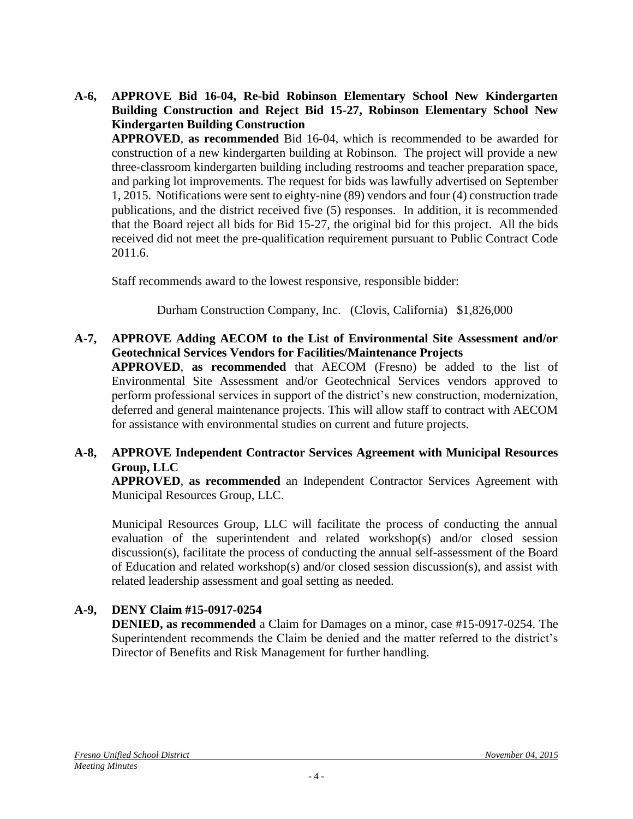**A-6, APPROVE Bid 16-04, Re-bid Robinson Elementary School New Kindergarten Building Construction and Reject Bid 15-27, Robinson Elementary School New Kindergarten Building Construction**

**APPROVED**, **as recommended** Bid 16-04, which is recommended to be awarded for construction of a new kindergarten building at Robinson. The project will provide a new three-classroom kindergarten building including restrooms and teacher preparation space, and parking lot improvements. The request for bids was lawfully advertised on September 1, 2015. Notifications were sent to eighty-nine (89) vendors and four (4) construction trade publications, and the district received five (5) responses. In addition, it is recommended that the Board reject all bids for Bid 15-27, the original bid for this project. All the bids received did not meet the pre-qualification requirement pursuant to Public Contract Code 2011.6.

Staff recommends award to the lowest responsive, responsible bidder:

Durham Construction Company, Inc. (Clovis, California) \$1,826,000

**A-7, APPROVE Adding AECOM to the List of Environmental Site Assessment and/or Geotechnical Services Vendors for Facilities/Maintenance Projects**

**APPROVED**, **as recommended** that AECOM (Fresno) be added to the list of Environmental Site Assessment and/or Geotechnical Services vendors approved to perform professional services in support of the district's new construction, modernization, deferred and general maintenance projects. This will allow staff to contract with AECOM for assistance with environmental studies on current and future projects.

## **A-8, APPROVE Independent Contractor Services Agreement with Municipal Resources Group, LLC**

**APPROVED**, **as recommended** an Independent Contractor Services Agreement with Municipal Resources Group, LLC.

Municipal Resources Group, LLC will facilitate the process of conducting the annual evaluation of the superintendent and related workshop(s) and/or closed session discussion(s), facilitate the process of conducting the annual self-assessment of the Board of Education and related workshop(s) and/or closed session discussion(s), and assist with related leadership assessment and goal setting as needed.

# **A-9, DENY Claim #15-0917-0254**

**DENIED, as recommended** a Claim for Damages on a minor, case #15-0917-0254. The Superintendent recommends the Claim be denied and the matter referred to the district's Director of Benefits and Risk Management for further handling.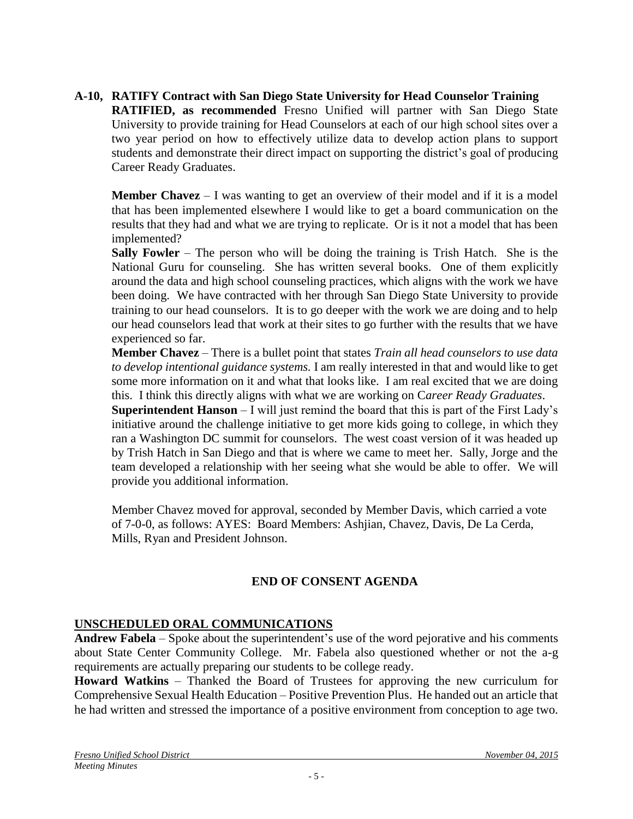# **A-10, RATIFY Contract with San Diego State University for Head Counselor Training**

**RATIFIED, as recommended** Fresno Unified will partner with San Diego State University to provide training for Head Counselors at each of our high school sites over a two year period on how to effectively utilize data to develop action plans to support students and demonstrate their direct impact on supporting the district's goal of producing Career Ready Graduates.

**Member Chavez** – I was wanting to get an overview of their model and if it is a model that has been implemented elsewhere I would like to get a board communication on the results that they had and what we are trying to replicate. Or is it not a model that has been implemented?

**Sally Fowler** – The person who will be doing the training is Trish Hatch. She is the National Guru for counseling. She has written several books. One of them explicitly around the data and high school counseling practices, which aligns with the work we have been doing. We have contracted with her through San Diego State University to provide training to our head counselors. It is to go deeper with the work we are doing and to help our head counselors lead that work at their sites to go further with the results that we have experienced so far.

**Member Chavez** – There is a bullet point that states *Train all head counselors to use data to develop intentional guidance systems.* I am really interested in that and would like to get some more information on it and what that looks like. I am real excited that we are doing this. I think this directly aligns with what we are working on C*areer Ready Graduates*.

**Superintendent Hanson** – I will just remind the board that this is part of the First Lady's initiative around the challenge initiative to get more kids going to college, in which they ran a Washington DC summit for counselors. The west coast version of it was headed up by Trish Hatch in San Diego and that is where we came to meet her. Sally, Jorge and the team developed a relationship with her seeing what she would be able to offer. We will provide you additional information.

Member Chavez moved for approval, seconded by Member Davis, which carried a vote of 7-0-0, as follows: AYES: Board Members: Ashjian, Chavez, Davis, De La Cerda, Mills, Ryan and President Johnson.

## **END OF CONSENT AGENDA**

## **UNSCHEDULED ORAL COMMUNICATIONS**

**Andrew Fabela** – Spoke about the superintendent's use of the word pejorative and his comments about State Center Community College. Mr. Fabela also questioned whether or not the a-g requirements are actually preparing our students to be college ready.

**Howard Watkins** – Thanked the Board of Trustees for approving the new curriculum for Comprehensive Sexual Health Education – Positive Prevention Plus. He handed out an article that he had written and stressed the importance of a positive environment from conception to age two.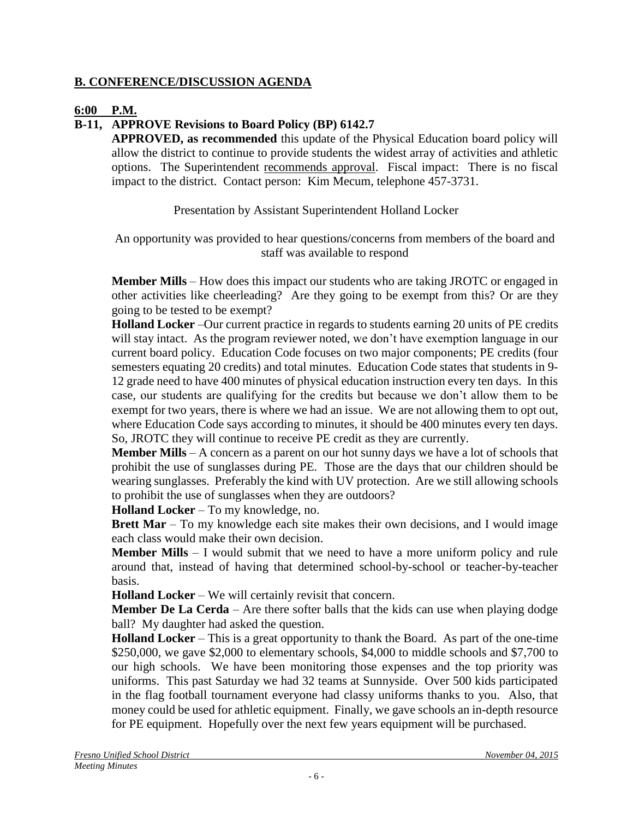#### **B. CONFERENCE/DISCUSSION AGENDA**

#### **6:00 P.M.**

# **B-11, APPROVE Revisions to Board Policy (BP) 6142.7**

**APPROVED, as recommended** this update of the Physical Education board policy will allow the district to continue to provide students the widest array of activities and athletic options. The Superintendent recommends approval. Fiscal impact: There is no fiscal impact to the district. Contact person: Kim Mecum, telephone 457-3731.

Presentation by Assistant Superintendent Holland Locker

An opportunity was provided to hear questions/concerns from members of the board and staff was available to respond

**Member Mills** – How does this impact our students who are taking JROTC or engaged in other activities like cheerleading? Are they going to be exempt from this? Or are they going to be tested to be exempt?

**Holland Locker** –Our current practice in regards to students earning 20 units of PE credits will stay intact. As the program reviewer noted, we don't have exemption language in our current board policy. Education Code focuses on two major components; PE credits (four semesters equating 20 credits) and total minutes. Education Code states that students in 9- 12 grade need to have 400 minutes of physical education instruction every ten days. In this case, our students are qualifying for the credits but because we don't allow them to be exempt for two years, there is where we had an issue. We are not allowing them to opt out, where Education Code says according to minutes, it should be 400 minutes every ten days. So, JROTC they will continue to receive PE credit as they are currently.

**Member Mills** – A concern as a parent on our hot sunny days we have a lot of schools that prohibit the use of sunglasses during PE. Those are the days that our children should be wearing sunglasses. Preferably the kind with UV protection. Are we still allowing schools to prohibit the use of sunglasses when they are outdoors?

**Holland Locker** – To my knowledge, no.

**Brett Mar** – To my knowledge each site makes their own decisions, and I would image each class would make their own decision.

**Member Mills** – I would submit that we need to have a more uniform policy and rule around that, instead of having that determined school-by-school or teacher-by-teacher basis.

**Holland Locker** – We will certainly revisit that concern.

**Member De La Cerda** – Are there softer balls that the kids can use when playing dodge ball? My daughter had asked the question.

**Holland Locker** – This is a great opportunity to thank the Board. As part of the one-time \$250,000, we gave \$2,000 to elementary schools, \$4,000 to middle schools and \$7,700 to our high schools. We have been monitoring those expenses and the top priority was uniforms. This past Saturday we had 32 teams at Sunnyside. Over 500 kids participated in the flag football tournament everyone had classy uniforms thanks to you. Also, that money could be used for athletic equipment. Finally, we gave schools an in-depth resource for PE equipment. Hopefully over the next few years equipment will be purchased.